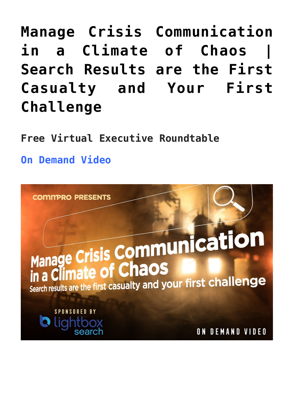# **[Manage Crisis Communication](https://www.commpro.biz/manage-crisis-communication-in-a-climate-of-chaos-search-results-are-the-first-casualty-and-your-first-challenge/) [in a Climate of Chaos |](https://www.commpro.biz/manage-crisis-communication-in-a-climate-of-chaos-search-results-are-the-first-casualty-and-your-first-challenge/) [Search Results are the First](https://www.commpro.biz/manage-crisis-communication-in-a-climate-of-chaos-search-results-are-the-first-casualty-and-your-first-challenge/) [Casualty and Your First](https://www.commpro.biz/manage-crisis-communication-in-a-climate-of-chaos-search-results-are-the-first-casualty-and-your-first-challenge/) [Challenge](https://www.commpro.biz/manage-crisis-communication-in-a-climate-of-chaos-search-results-are-the-first-casualty-and-your-first-challenge/)**

**Free Virtual Executive Roundtable**

**[On Demand Video](https://us02web.zoom.us/webinar/register/WN_2EtUrC1WTQy2ArZcmCF69w)**

**COMMPRO PRESENTS** 

# Manage Crisis Communication in a Climate of Chaos

Search results are the first casualty and your first challenge

**SPONSORED BY** 

ON DEMAND VIDEO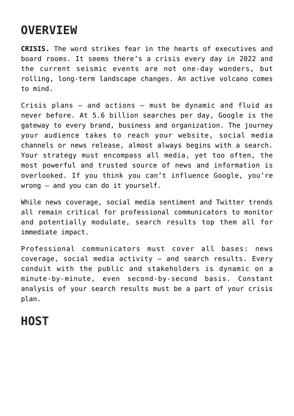# **OVERVIEW**

**CRISIS.** The word strikes fear in the hearts of executives and board rooms. It seems there's a crisis every day in 2022 and the current seismic events are not one-day wonders, but rolling, long-term landscape changes. An active volcano comes to mind.

Crisis plans – and actions – must be dynamic and fluid as never before. At 5.6 billion searches per day, Google is the gateway to every brand, business and organization. The journey your audience takes to reach your website, social media channels or news release, almost always begins with a search. Your strategy must encompass all media, yet too often, the most powerful and trusted source of news and information is overlooked. If you think you can't influence Google, you're wrong – and you can do it yourself.

While news coverage, social media sentiment and Twitter trends all remain critical for professional communicators to monitor and potentially modulate, search results top them all for immediate impact.

Professional communicators must cover all bases: news coverage, social media activity – and search results. Every conduit with the public and stakeholders is dynamic on a minute-by-minute, even second-by-second basis. Constant analysis of your search results must be a part of your crisis plan.

## **HOST**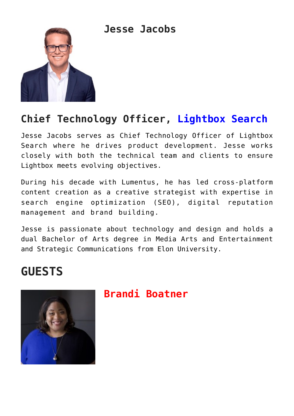**Jesse Jacobs**



#### **Chief Technology Officer, [Lightbox Search](https://lightboxsearch.com/)**

Jesse Jacobs serves as Chief Technology Officer of Lightbox Search where he drives product development. Jesse works closely with both the technical team and clients to ensure Lightbox meets evolving objectives.

During his decade with Lumentus, he has led cross-platform content creation as a creative strategist with expertise in search engine optimization (SEO), digital reputation management and brand building.

Jesse is passionate about technology and design and holds a dual Bachelor of Arts degree in Media Arts and Entertainment and Strategic Communications from Elon University.

### **GUESTS**



#### **Brandi Boatner**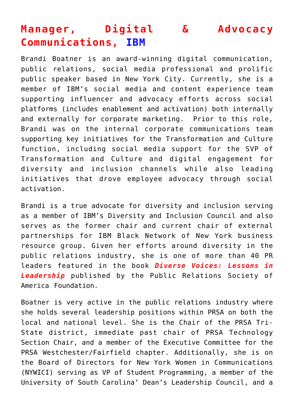#### **Manager, Digital & Advocacy Communications, [IBM](https://www.ibm.com/us-en?ar=1)**

Brandi Boatner is an award-winning digital communication, public relations, social media professional and prolific public speaker based in New York City. Currently, she is a member of IBM's social media and content experience team supporting influencer and advocacy efforts across social platforms (includes enablement and activation) both internally and externally for corporate marketing. Prior to this role, Brandi was on the internal corporate communications team supporting key initiatives for the Transformation and Culture function, including social media support for the SVP of Transformation and Culture and digital engagement for diversity and inclusion channels while also leading initiatives that drove employee advocacy through social activation.

Brandi is a true advocate for diversity and inclusion serving as a member of IBM's Diversity and Inclusion Council and also serves as the former chair and current chair of external partnerships for IBM Black Network of New York business resource group. Given her efforts around diversity in the public relations industry, she is one of more than 40 PR leaders featured in the book *Diverse Voices: Lessons in Leadership* published by the Public Relations Society of America Foundation.

Boatner is very active in the public relations industry where she holds several leadership positions within PRSA on both the local and national level. She is the Chair of the PRSA Tri-State district, immediate past chair of PRSA Technology Section Chair, and a member of the Executive Committee for the PRSA Westchester/Fairfield chapter. Additionally, she is on the Board of Directors for New York Women in Communications (NYWICI) serving as VP of Student Programming, a member of the University of South Carolina' Dean's Leadership Council, and a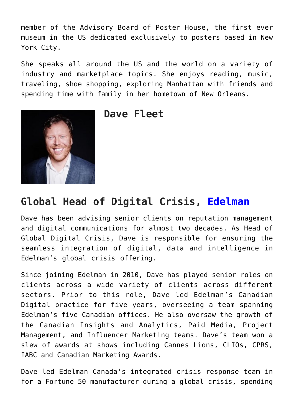member of the Advisory Board of Poster House, the first ever museum in the US dedicated exclusively to posters based in New York City.

She speaks all around the US and the world on a variety of industry and marketplace topics. She enjoys reading, music, traveling, shoe shopping, exploring Manhattan with friends and spending time with family in her hometown of New Orleans.



**Dave Fleet**

#### **Global Head of Digital Crisis, [Edelman](https://www.edelman.com/)**

Dave has been advising senior clients on reputation management and digital communications for almost two decades. As Head of Global Digital Crisis, Dave is responsible for ensuring the seamless integration of digital, data and intelligence in Edelman's global crisis offering.

Since joining Edelman in 2010, Dave has played senior roles on clients across a wide variety of clients across different sectors. Prior to this role, Dave led Edelman's Canadian Digital practice for five years, overseeing a team spanning Edelman's five Canadian offices. He also oversaw the growth of the Canadian Insights and Analytics, Paid Media, Project Management, and Influencer Marketing teams. Dave's team won a slew of awards at shows including Cannes Lions, CLIOs, CPRS, IABC and Canadian Marketing Awards.

Dave led Edelman Canada's integrated crisis response team in for a Fortune 50 manufacturer during a global crisis, spending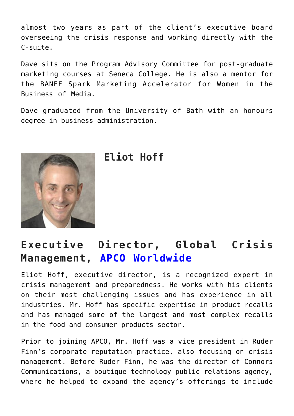almost two years as part of the client's executive board overseeing the crisis response and working directly with the C-suite.

Dave sits on the Program Advisory Committee for post-graduate marketing courses at Seneca College. He is also a mentor for the BANFF Spark Marketing Accelerator for Women in the Business of Media.

Dave graduated from the University of Bath with an honours degree in business administration.



**Eliot Hoff**

#### **Executive Director, Global Crisis Management, [APCO Worldwide](https://apcoworldwide.com/)**

Eliot Hoff, executive director, is a recognized expert in crisis management and preparedness. He works with his clients on their most challenging issues and has experience in all industries. Mr. Hoff has specific expertise in product recalls and has managed some of the largest and most complex recalls in the food and consumer products sector.

Prior to joining APCO, Mr. Hoff was a vice president in Ruder Finn's corporate reputation practice, also focusing on crisis management. Before Ruder Finn, he was the director of Connors Communications, a boutique technology public relations agency, where he helped to expand the agency's offerings to include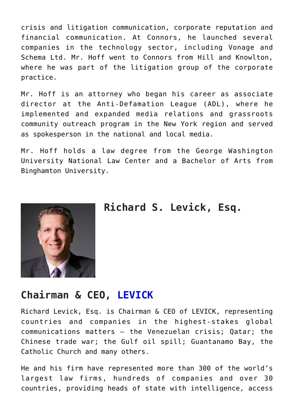crisis and litigation communication, corporate reputation and financial communication. At Connors, he launched several companies in the technology sector, including Vonage and Schema Ltd. Mr. Hoff went to Connors from Hill and Knowlton, where he was part of the litigation group of the corporate practice.

Mr. Hoff is an attorney who began his career as associate director at the Anti-Defamation League (ADL), where he implemented and expanded media relations and grassroots community outreach program in the New York region and served as spokesperson in the national and local media.

Mr. Hoff holds a law degree from the George Washington University National Law Center and a Bachelor of Arts from Binghamton University.



**Richard S. Levick, Esq.**

#### **Chairman & CEO, [LEVICK](https://levick.com/)**

Richard Levick, Esq. is Chairman & CEO of LEVICK, representing countries and companies in the highest-stakes global communications matters – the Venezuelan crisis; Qatar; the Chinese trade war; the Gulf oil spill; Guantanamo Bay, the Catholic Church and many others.

He and his firm have represented more than 300 of the world's largest law firms, hundreds of companies and over 30 countries, providing heads of state with intelligence, access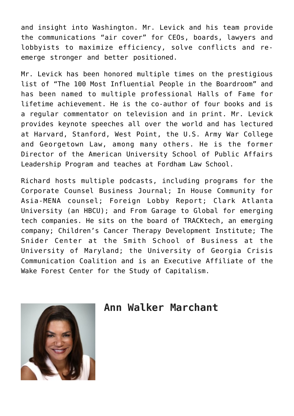and insight into Washington. Mr. Levick and his team provide the communications "air cover" for CEOs, boards, lawyers and lobbyists to maximize efficiency, solve conflicts and reemerge stronger and better positioned.

Mr. Levick has been honored multiple times on the prestigious list of "The 100 Most Influential People in the Boardroom" and has been named to multiple professional Halls of Fame for lifetime achievement. He is the co-author of four books and is a regular commentator on television and in print. Mr. Levick provides keynote speeches all over the world and has lectured at Harvard, Stanford, West Point, the U.S. Army War College and Georgetown Law, among many others. He is the former Director of the American University School of Public Affairs Leadership Program and teaches at Fordham Law School.

Richard hosts multiple podcasts, including programs for the Corporate Counsel Business Journal; In House Community for Asia-MENA counsel; Foreign Lobby Report; Clark Atlanta University (an HBCU); and From Garage to Global for emerging tech companies. He sits on the board of TRACKtech, an emerging company; Children's Cancer Therapy Development Institute; The Snider Center at the Smith School of Business at the University of Maryland; the University of Georgia Crisis Communication Coalition and is an Executive Affiliate of the Wake Forest Center for the Study of Capitalism.



#### **Ann Walker Marchant**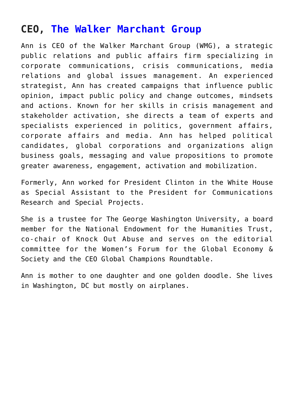#### **CEO, [The Walker Marchant Group](https://walkermarchant.com/)**

Ann is CEO of the Walker Marchant Group (WMG), a strategic public relations and public affairs firm specializing in corporate communications, crisis communications, media relations and global issues management. An experienced strategist, Ann has created campaigns that influence public opinion, impact public policy and change outcomes, mindsets and actions. Known for her skills in crisis management and stakeholder activation, she directs a team of experts and specialists experienced in politics, government affairs, corporate affairs and media. Ann has helped political candidates, global corporations and organizations align business goals, messaging and value propositions to promote greater awareness, engagement, activation and mobilization.

Formerly, Ann worked for President Clinton in the White House as Special Assistant to the President for Communications Research and Special Projects.

She is a trustee for The George Washington University, a board member for the National Endowment for the Humanities Trust, co-chair of Knock Out Abuse and serves on the editorial committee for the Women's Forum for the Global Economy & Society and the CEO Global Champions Roundtable.

Ann is mother to one daughter and one golden doodle. She lives in Washington, DC but mostly on airplanes.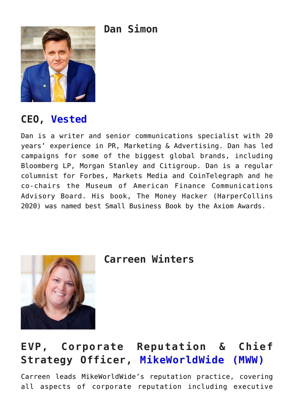**Dan Simon**



#### **CEO, [Vested](https://fullyvested.com/)**

Dan is a writer and senior communications specialist with 20 years' experience in PR, Marketing & Advertising. Dan has led campaigns for some of the biggest global brands, including Bloomberg LP, Morgan Stanley and Citigroup. Dan is a regular columnist for Forbes, Markets Media and CoinTelegraph and he co-chairs the Museum of American Finance Communications Advisory Board. His book, The Money Hacker (HarperCollins 2020) was named best Small Business Book by the Axiom Awards.



**Carreen Winters**

#### **EVP, Corporate Reputation & Chief Strategy Officer, [MikeWorldWide \(MWW\)](https://www.mww.com/)**

Carreen leads MikeWorldWide's reputation practice, covering all aspects of corporate reputation including executive